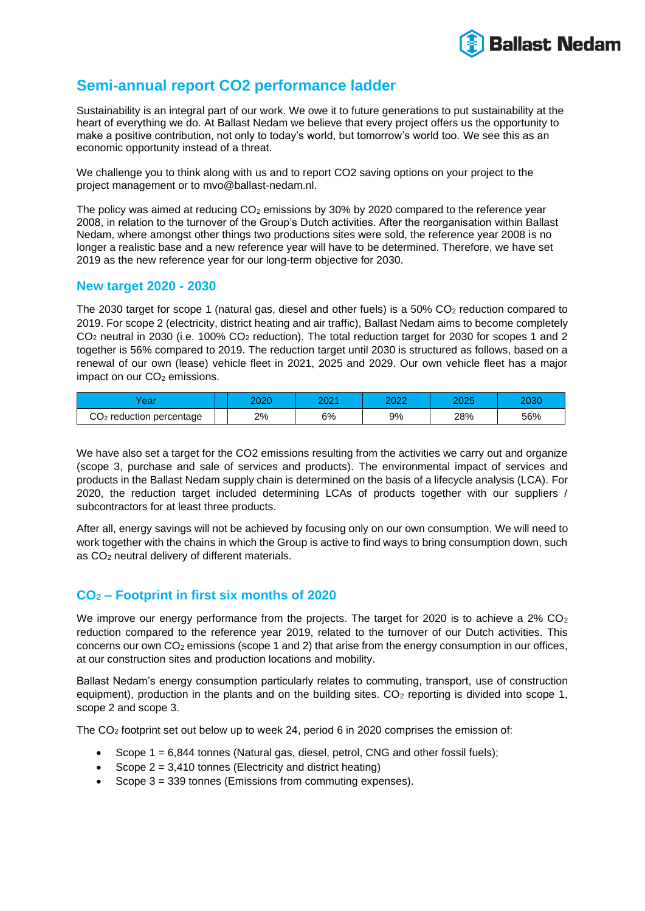

# **Semi-annual report CO2 performance ladder**

Sustainability is an integral part of our work. We owe it to future generations to put sustainability at the heart of everything we do. At Ballast Nedam we believe that every project offers us the opportunity to make a positive contribution, not only to today's world, but tomorrow's world too. We see this as an economic opportunity instead of a threat.

We challenge you to think along with us and to report CO2 saving options on your project to the project management or to mvo@ballast-nedam.nl.

The policy was aimed at reducing  $CO<sub>2</sub>$  emissions by 30% by 2020 compared to the reference year 2008, in relation to the turnover of the Group's Dutch activities. After the reorganisation within Ballast Nedam, where amongst other things two productions sites were sold, the reference year 2008 is no longer a realistic base and a new reference year will have to be determined. Therefore, we have set 2019 as the new reference year for our long-term objective for 2030.

### **New target 2020 - 2030**

The 2030 target for scope 1 (natural gas, diesel and other fuels) is a 50%  $CO<sub>2</sub>$  reduction compared to 2019. For scope 2 (electricity, district heating and air traffic), Ballast Nedam aims to become completely CO<sup>2</sup> neutral in 2030 (i.e. 100% CO<sup>2</sup> reduction). The total reduction target for 2030 for scopes 1 and 2 together is 56% compared to 2019. The reduction target until 2030 is structured as follows, based on a renewal of our own (lease) vehicle fleet in 2021, 2025 and 2029. Our own vehicle fleet has a major  $im$ pact on our  $CO<sub>2</sub>$  emissions.

| $\sim$ $\sim$ $\sim$<br>eai | 2020 | poo <sub>4</sub><br>49. | ∩∩∩ | חממ<br>∠∪∠a | 2030 |
|-----------------------------|------|-------------------------|-----|-------------|------|
| $CO2$ reduction percentage  | 2%   | 6%                      | 9%  | 28%         | 56%  |

We have also set a target for the CO2 emissions resulting from the activities we carry out and organize (scope 3, purchase and sale of services and products). The environmental impact of services and products in the Ballast Nedam supply chain is determined on the basis of a lifecycle analysis (LCA). For 2020, the reduction target included determining LCAs of products together with our suppliers / subcontractors for at least three products.

After all, energy savings will not be achieved by focusing only on our own consumption. We will need to work together with the chains in which the Group is active to find ways to bring consumption down, such as CO<sub>2</sub> neutral delivery of different materials.

## **CO<sup>2</sup> – Footprint in first six months of 2020**

We improve our energy performance from the projects. The target for 2020 is to achieve a  $2\%$  CO<sub>2</sub> reduction compared to the reference year 2019, related to the turnover of our Dutch activities. This concerns our own  $CO<sub>2</sub>$  emissions (scope 1 and 2) that arise from the energy consumption in our offices, at our construction sites and production locations and mobility.

Ballast Nedam's energy consumption particularly relates to commuting, transport, use of construction equipment), production in the plants and on the building sites.  $CO<sub>2</sub>$  reporting is divided into scope 1, scope 2 and scope 3.

The CO<sup>2</sup> footprint set out below up to week 24, period 6 in 2020 comprises the emission of:

- Scope  $1 = 6,844$  tonnes (Natural gas, diesel, petrol, CNG and other fossil fuels);
- Scope  $2 = 3,410$  tonnes (Electricity and district heating)
- Scope 3 = 339 tonnes (Emissions from commuting expenses).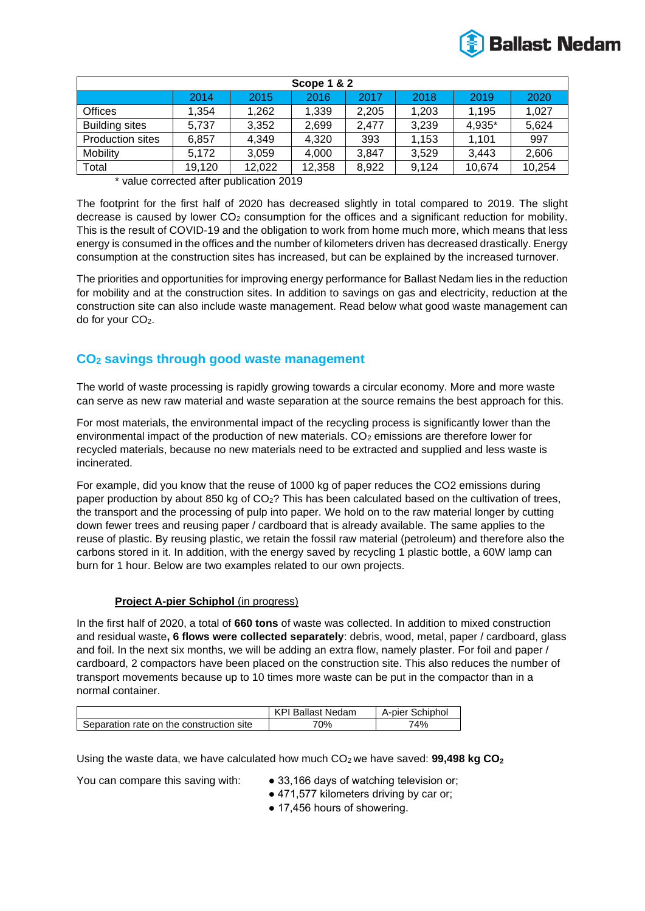

| Scope 1 & 2             |        |        |        |       |       |        |        |
|-------------------------|--------|--------|--------|-------|-------|--------|--------|
|                         | 2014   | 2015   | 2016   | 2017  | 2018  | 2019   | 2020   |
| <b>Offices</b>          | 1.354  | 1,262  | 1,339  | 2,205 | 1,203 | 1.195  | 1,027  |
| <b>Building sites</b>   | 5,737  | 3,352  | 2,699  | 2.477 | 3,239 | 4,935* | 5,624  |
| <b>Production sites</b> | 6,857  | 4,349  | 4,320  | 393   | 1,153 | 1.101  | 997    |
| <b>Mobility</b>         | 5.172  | 3,059  | 4,000  | 3,847 | 3,529 | 3,443  | 2,606  |
| Total                   | 19,120 | 12,022 | 12,358 | 8,922 | 9,124 | 10,674 | 10,254 |

\* value corrected after publication 2019

The footprint for the first half of 2020 has decreased slightly in total compared to 2019. The slight decrease is caused by lower CO<sub>2</sub> consumption for the offices and a significant reduction for mobility. This is the result of COVID-19 and the obligation to work from home much more, which means that less energy is consumed in the offices and the number of kilometers driven has decreased drastically. Energy consumption at the construction sites has increased, but can be explained by the increased turnover.

The priorities and opportunities for improving energy performance for Ballast Nedam lies in the reduction for mobility and at the construction sites. In addition to savings on gas and electricity, reduction at the construction site can also include waste management. Read below what good waste management can do for your CO<sub>2</sub>.

## **CO<sup>2</sup> savings through good waste management**

The world of waste processing is rapidly growing towards a circular economy. More and more waste can serve as new raw material and waste separation at the source remains the best approach for this.

For most materials, the environmental impact of the recycling process is significantly lower than the environmental impact of the production of new materials.  $CO<sub>2</sub>$  emissions are therefore lower for recycled materials, because no new materials need to be extracted and supplied and less waste is incinerated.

For example, did you know that the reuse of 1000 kg of paper reduces the CO2 emissions during paper production by about 850 kg of CO<sub>2</sub>? This has been calculated based on the cultivation of trees, the transport and the processing of pulp into paper. We hold on to the raw material longer by cutting down fewer trees and reusing paper / cardboard that is already available. The same applies to the reuse of plastic. By reusing plastic, we retain the fossil raw material (petroleum) and therefore also the carbons stored in it. In addition, with the energy saved by recycling 1 plastic bottle, a 60W lamp can burn for 1 hour. Below are two examples related to our own projects.

#### **Project A-pier Schiphol** (in progress)

In the first half of 2020, a total of **660 tons** of waste was collected. In addition to mixed construction and residual waste**, 6 flows were collected separately**: debris, wood, metal, paper / cardboard, glass and foil. In the next six months, we will be adding an extra flow, namely plaster. For foil and paper / cardboard, 2 compactors have been placed on the construction site. This also reduces the number of transport movements because up to 10 times more waste can be put in the compactor than in a normal container.

|                                          | <b>Ballast Nedam</b><br>KPI | A-pier Schiphol |
|------------------------------------------|-----------------------------|-----------------|
| Separation rate on the construction site | 70%                         | 74%             |

Using the waste data, we have calculated how much CO2 we have saved: **99,498 kg CO<sup>2</sup>**

- You can compare this saving with: 33,166 days of watching television or;
	- 471,577 kilometers driving by car or;
	- 17,456 hours of showering.